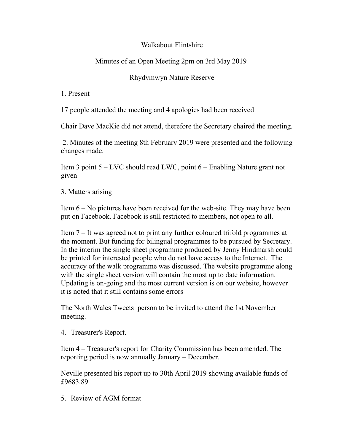## Walkabout Flintshire

## Minutes of an Open Meeting 2pm on 3rd May 2019

## Rhydymwyn Nature Reserve

1. Present

17 people attended the meeting and 4 apologies had been received

Chair Dave MacKie did not attend, therefore the Secretary chaired the meeting.

2. Minutes of the meeting 8th February 2019 were presented and the following changes made.

Item 3 point 5 – LVC should read LWC, point 6 – Enabling Nature grant not given

3. Matters arising

Item 6 – No pictures have been received for the web-site. They may have been put on Facebook. Facebook is still restricted to members, not open to all.

Item 7 – It was agreed not to print any further coloured trifold programmes at the moment. But funding for bilingual programmes to be pursued by Secretary. In the interim the single sheet programme produced by Jenny Hindmarsh could be printed for interested people who do not have access to the Internet. The accuracy of the walk programme was discussed. The website programme along with the single sheet version will contain the most up to date information. Updating is on-going and the most current version is on our website, however it is noted that it still contains some errors

The North Wales Tweets person to be invited to attend the 1st November meeting.

4. Treasurer's Report.

Item 4 – Treasurer's report for Charity Commission has been amended. The reporting period is now annually January – December.

Neville presented his report up to 30th April 2019 showing available funds of £9683.89

5. Review of AGM format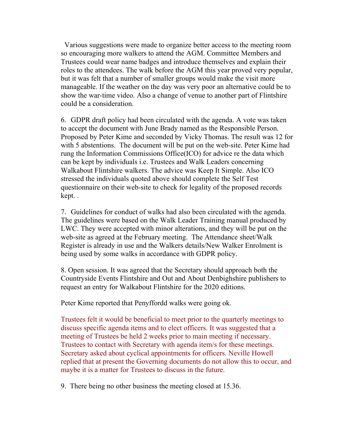Various suggestions were made to organize better access to the meeting room so encouraging more walkers to attend the AGM. Committee Members and Trustees could wear name badges and introduce themselves and explain their roles to the attendees. The walk before the AGM this year proved very popular, but it was felt that a number of smaller groups would make the visit more manageable. If the weather on the day was very poor an alternative could be to show the war-time video. Also a change of venue to another part of Flintshire could be a consideration.

6. GDPR draft policy had been circulated with the agenda. A vote was taken to accept the document with June Brady named as the Responsible Person. Proposed by Peter Kime and seconded by Vicky Thomas. The result was 12 for with 5 abstentions. The document will be put on the web-site. Peter Kime had rung the Information Commissions Office(ICO) for advice re the data which can be kept by individuals i.e. Trustees and Walk Leaders concerning Walkabout Flintshire walkers. The advice was Keep It Simple. Also ICO stressed the individuals quoted above should complete the Self Test questionnaire on their web-site to check for legality of the proposed records kept. .

7. Guidelines for conduct of walks had also been circulated with the agenda. The guidelines were based on the Walk Leader Training manual produced by LWC. They were accepted with minor alterations, and they will be put on the web-site as agreed at the February meeting. The Attendance sheet/Walk Register is already in use and the Walkers details/New Walker Enrolment is being used by some walks in accordance with GDPR policy.

8. Open session. It was agreed that the Secretary should approach both the Countryside Events Flintshire and Out and About Denbighshire publishers to request an entry for Walkabout Flintshire for the 2020 editions.

Peter Kime reported that Penyffordd walks were going ok.

Trustees felt it would be beneficial to meet prior to the quarterly meetings to discuss specific agenda items and to elect officers. It was suggested that a meeting of Trustees be held 2 weeks prior to main meeting if necessary. Trustees to contact with Secretary with agenda item/s for these meetings. Secretary asked about cyclical appointments for officers. Neville Howell replied that at present the Governing documents do not allow this to occur, and maybe it is a matter for Trustees to discuss in the future.

9. There being no other business the meeting closed at 15.36.